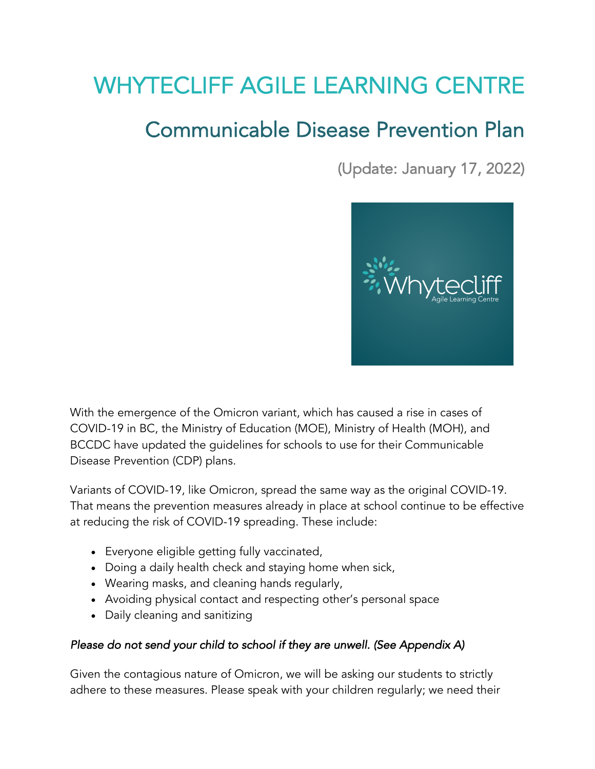# WHYTECLIFF AGILE LEARNING CENTRE

# Communicable Disease Prevention Plan

(Update: January 17, 2022)



With the emergence of the Omicron variant, which has caused a rise in cases of COVID-19 in BC, the Ministry of Education (MOE), Ministry of Health (MOH), and BCCDC have updated the guidelines for schools to use for their Communicable Disease Prevention (CDP) plans.

Variants of COVID-19, like Omicron, spread the same way as the original COVID-19. That means the prevention measures already in place at school continue to be effective at reducing the risk of COVID-19 spreading. These include:

- Everyone eligible getting fully vaccinated,
- Doing a daily health check and staying home when sick,
- Wearing masks, and cleaning hands regularly,
- Avoiding physical contact and respecting other's personal space
- Daily cleaning and sanitizing

#### *Please do not send your child to school if they are unwell. (See Appendix A)*

Given the contagious nature of Omicron, we will be asking our students to strictly adhere to these measures. Please speak with your children regularly; we need their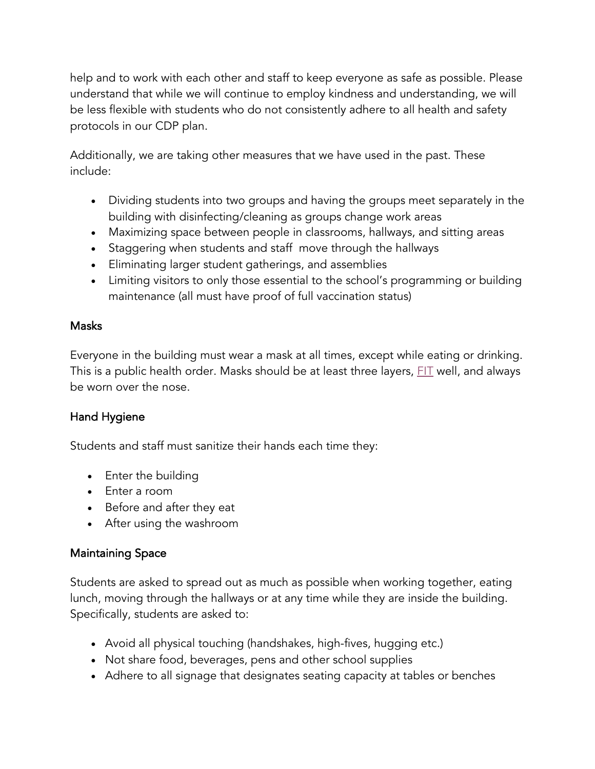help and to work with each other and staff to keep everyone as safe as possible. Please understand that while we will continue to employ kindness and understanding, we will be less flexible with students who do not consistently adhere to all health and safety protocols in our CDP plan.

Additionally, we are taking other measures that we have used in the past. These include:

- Dividing students into two groups and having the groups meet separately in the building with disinfecting/cleaning as groups change work areas
- Maximizing space between people in classrooms, hallways, and sitting areas
- Staggering when students and staff move through the hallways
- Eliminating larger student gatherings, and assemblies
- Limiting visitors to only those essential to the school's programming or building maintenance (all must have proof of full vaccination status)

### Masks

Everyone in the building must wear a mask at all times, except while eating or drinking. This is a public health order. Masks should be at least three layers,  $FIT$  well, and always be worn over the nose.

# Hand Hygiene

Students and staff must sanitize their hands each time they:

- Enter the building
- Enter a room
- Before and after they eat
- After using the washroom

# Maintaining Space

Students are asked to spread out as much as possible when working together, eating lunch, moving through the hallways or at any time while they are inside the building. Specifically, students are asked to:

- Avoid all physical touching (handshakes, high-fives, hugging etc.)
- Not share food, beverages, pens and other school supplies
- Adhere to all signage that designates seating capacity at tables or benches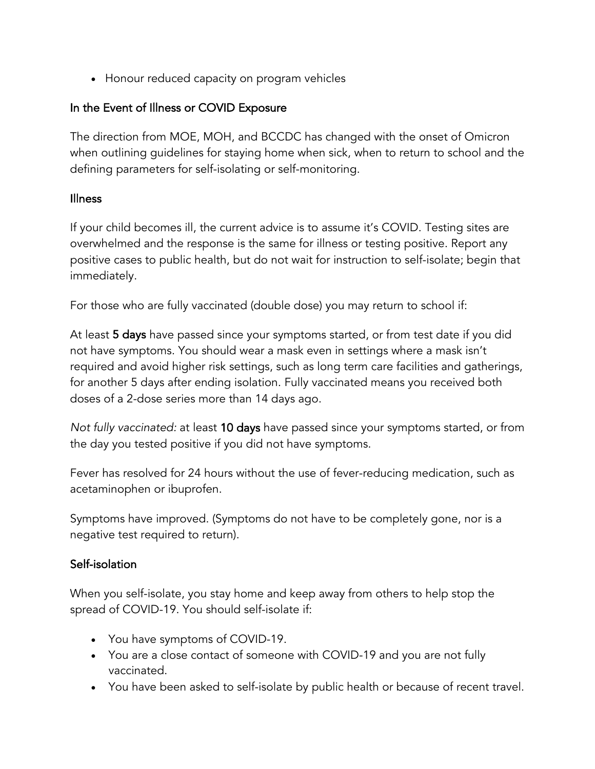• Honour reduced capacity on program vehicles

# In the Event of Illness or COVID Exposure

The direction from MOE, MOH, and BCCDC has changed with the onset of Omicron when outlining guidelines for staying home when sick, when to return to school and the defining parameters for self-isolating or self-monitoring.

### Illness

If your child becomes ill, the current advice is to assume it's COVID. Testing sites are overwhelmed and the response is the same for illness or testing positive. Report any positive cases to public health, but do not wait for instruction to self-isolate; begin that immediately.

For those who are fully vaccinated (double dose) you may return to school if:

At least 5 days have passed since your symptoms started, or from test date if you did not have symptoms. You should wear a mask even in settings where a mask isn't required and avoid higher risk settings, such as long term care facilities and gatherings, for another 5 days after ending isolation. Fully vaccinated means you received both doses of a 2-dose series more than 14 days ago.

*Not fully vaccinated:* at least 10 days have passed since your symptoms started, or from the day you tested positive if you did not have symptoms.

Fever has resolved for 24 hours without the use of fever-reducing medication, such as acetaminophen or ibuprofen.

Symptoms have improved. (Symptoms do not have to be completely gone, nor is a negative test required to return).

# Self-isolation

When you self-isolate, you stay home and keep away from others to help stop the spread of COVID-19. You should self-isolate if:

- You have symptoms of COVID-19.
- You are a close contact of someone with COVID-19 and you are not fully vaccinated.
- You have been asked to self-isolate by public health or because of recent travel.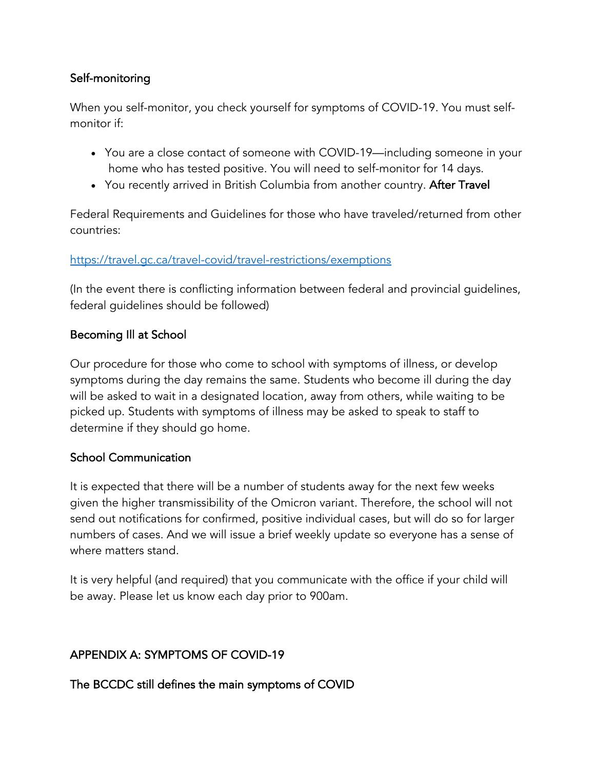# Self-monitoring

When you self-monitor, you check yourself for symptoms of COVID-19. You must selfmonitor if:

- You are a close contact of someone with COVID-19—including someone in your home who has tested positive. You will need to self-monitor for 14 days.
- You recently arrived in British Columbia from another country. After Travel

Federal Requirements and Guidelines for those who have traveled/returned from other countries:

### https://travel.gc.ca/travel-covid/travel-restrictions/exemptions

(In the event there is conflicting information between federal and provincial guidelines, federal guidelines should be followed)

### Becoming Ill at School

Our procedure for those who come to school with symptoms of illness, or develop symptoms during the day remains the same. Students who become ill during the day will be asked to wait in a designated location, away from others, while waiting to be picked up. Students with symptoms of illness may be asked to speak to staff to determine if they should go home.

#### School Communication

It is expected that there will be a number of students away for the next few weeks given the higher transmissibility of the Omicron variant. Therefore, the school will not send out notifications for confirmed, positive individual cases, but will do so for larger numbers of cases. And we will issue a brief weekly update so everyone has a sense of where matters stand.

It is very helpful (and required) that you communicate with the office if your child will be away. Please let us know each day prior to 900am.

# APPENDIX A: SYMPTOMS OF COVID-19

The BCCDC still defines the main symptoms of COVID